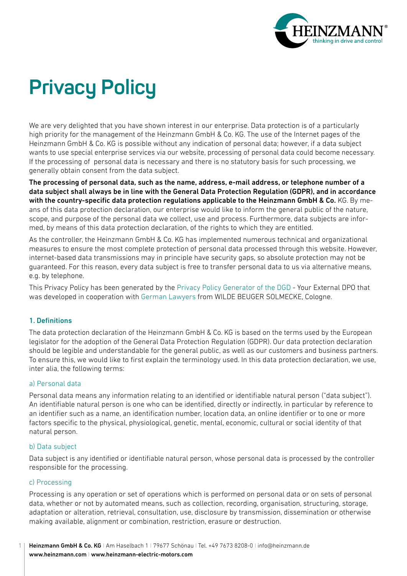

# **Privacy Policy**

We are very delighted that you have shown interest in our enterprise. Data protection is of a particularly high priority for the management of the Heinzmann GmbH & Co. KG. The use of the Internet pages of the Heinzmann GmbH & Co. KG is possible without any indication of personal data; however, if a data subject wants to use special enterprise services via our website, processing of personal data could become necessary. If the processing of personal data is necessary and there is no statutory basis for such processing, we generally obtain consent from the data subject.

The processing of personal data, such as the name, address, e-mail address, or telephone number of a data subject shall always be in line with the General Data Protection Regulation (GDPR), and in accordance with the country-specific data protection regulations applicable to the Heinzmann GmbH & Co. KG. By means of this data protection declaration, our enterprise would like to inform the general public of the nature, scope, and purpose of the personal data we collect, use and process. Furthermore, data subjects are informed, by means of this data protection declaration, of the rights to which they are entitled.

As the controller, the Heinzmann GmbH & Co. KG has implemented numerous technical and organizational measures to ensure the most complete protection of personal data processed through this website. However, internet-based data transmissions may in principle have security gaps, so absolute protection may not be guaranteed. For this reason, every data subject is free to transfer personal data to us via alternative means, e.g. by telephone.

This Privacy Policy has been generated by the [Privacy Policy Generator of the DGD](https://dsgvo-muster-datenschutzerklaerung.dg-datenschutz.de/?lang=en) - Your External DPO that was developed in cooperation with [German Lawyers](https://www.wbs-law.de/it-und-internet-recht/datenschutzrecht/) from WILDE BEUGER SOLMECKE, Cologne.

# 1. Definitions

The data protection declaration of the Heinzmann GmbH & Co. KG is based on the terms used by the European legislator for the adoption of the General Data Protection Regulation (GDPR). Our data protection declaration should be legible and understandable for the general public, as well as our customers and business partners. To ensure this, we would like to first explain the terminology used. In this data protection declaration, we use, inter alia, the following terms:

#### a) Personal data

Personal data means any information relating to an identified or identifiable natural person ("data subject"). An identifiable natural person is one who can be identified, directly or indirectly, in particular by reference to an identifier such as a name, an identification number, location data, an online identifier or to one or more factors specific to the physical, physiological, genetic, mental, economic, cultural or social identity of that natural person.

#### b) Data subject

Data subject is any identified or identifiable natural person, whose personal data is processed by the controller responsible for the processing.

#### c) Processing

1

Processing is any operation or set of operations which is performed on personal data or on sets of personal data, whether or not by automated means, such as collection, recording, organisation, structuring, storage, adaptation or alteration, retrieval, consultation, use, disclosure by transmission, dissemination or otherwise making available, alignment or combination, restriction, erasure or destruction.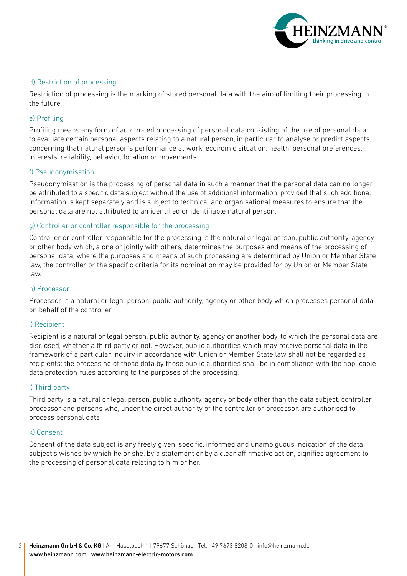

#### d) Restriction of processing

Restriction of processing is the marking of stored personal data with the aim of limiting their processing in the future.

## e) Profiling

Profiling means any form of automated processing of personal data consisting of the use of personal data to evaluate certain personal aspects relating to a natural person, in particular to analyse or predict aspects concerning that natural person's performance at work, economic situation, health, personal preferences, interests, reliability, behavior, location or movements.

#### f) Pseudonymisation

Pseudonymisation is the processing of personal data in such a manner that the personal data can no longer be attributed to a specific data subject without the use of additional information, provided that such additional information is kept separately and is subject to technical and organisational measures to ensure that the personal data are not attributed to an identified or identifiable natural person.

## g) Controller or controller responsible for the processing

Controller or controller responsible for the processing is the natural or legal person, public authority, agency or other body which, alone or jointly with others, determines the purposes and means of the processing of personal data; where the purposes and means of such processing are determined by Union or Member State law, the controller or the specific criteria for its nomination may be provided for by Union or Member State law.

#### h) Processor

Processor is a natural or legal person, public authority, agency or other body which processes personal data on behalf of the controller.

#### i) Recipient

Recipient is a natural or legal person, public authority, agency or another body, to which the personal data are disclosed, whether a third party or not. However, public authorities which may receive personal data in the framework of a particular inquiry in accordance with Union or Member State law shall not be regarded as recipients; the processing of those data by those public authorities shall be in compliance with the applicable data protection rules according to the purposes of the processing.

# j) Third party

Third party is a natural or legal person, public authority, agency or body other than the data subject, controller, processor and persons who, under the direct authority of the controller or processor, are authorised to process personal data.

#### k) Consent

Consent of the data subject is any freely given, specific, informed and unambiguous indication of the data subject's wishes by which he or she, by a statement or by a clear affirmative action, signifies agreement to the processing of personal data relating to him or her.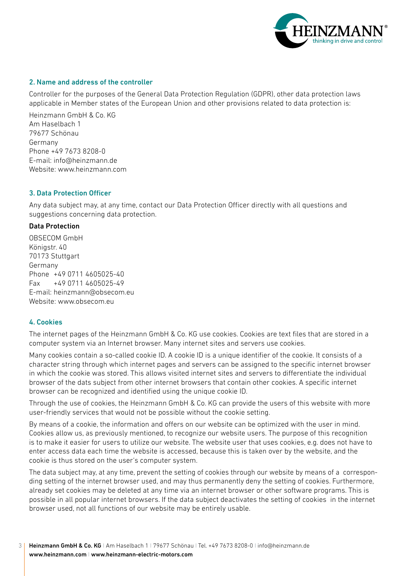

#### 2. Name and address of the controller

Controller for the purposes of the General Data Protection Regulation (GDPR), other data protection laws applicable in Member states of the European Union and other provisions related to data protection is:

Heinzmann GmbH & Co. KG Am Haselbach 1 79677 Schönau Germany Phone +49 7673 8208-0 E-mail: [info@heinzmann.de](mailto:info%40heinzmann.de?subject=) Website: [www.heinzmann.com](https://www.heinzmann.com/en/)

## 3. Data Protection Officer

Any data subject may, at any time, contact our Data Protection Officer directly with all questions and suggestions concerning data protection.

#### Data Protection

OBSECOM GmbH Königstr. 40 70173 Stuttgart Germany Phone +49 0711 4605025-40 Fax +49 0711 4605025-49 E-mail: [heinzmann@obsecom.eu](mailto:heinzmann%40obsecom.eu?subject=) Website: [www.obsecom.eu](https://www.obsecom.eu)

# 4. Cookies

The internet pages of the Heinzmann GmbH & Co. KG use cookies. Cookies are text files that are stored in a computer system via an Internet browser. Many internet sites and servers use cookies.

Many cookies contain a so-called cookie ID. A cookie ID is a unique identifier of the cookie. It consists of a character string through which internet pages and servers can be assigned to the specific internet browser in which the cookie was stored. This allows visited internet sites and servers to differentiate the individual browser of the dats subject from other internet browsers that contain other cookies. A specific internet browser can be recognized and identified using the unique cookie ID.

Through the use of cookies, the Heinzmann GmbH & Co. KG can provide the users of this website with more user-friendly services that would not be possible without the cookie setting.

By means of a cookie, the information and offers on our website can be optimized with the user in mind. Cookies allow us, as previously mentioned, to recognize our website users. The purpose of this recognition is to make it easier for users to utilize our website. The website user that uses cookies, e.g. does not have to enter access data each time the website is accessed, because this is taken over by the website, and the cookie is thus stored on the user's computer system.

The data subject may, at any time, prevent the setting of cookies through our website by means of a corresponding setting of the internet browser used, and may thus permanently deny the setting of cookies. Furthermore, already set cookies may be deleted at any time via an internet browser or other software programs. This is possible in all popular internet browsers. If the data subject deactivates the setting of cookies in the internet browser used, not all functions of our website may be entirely usable.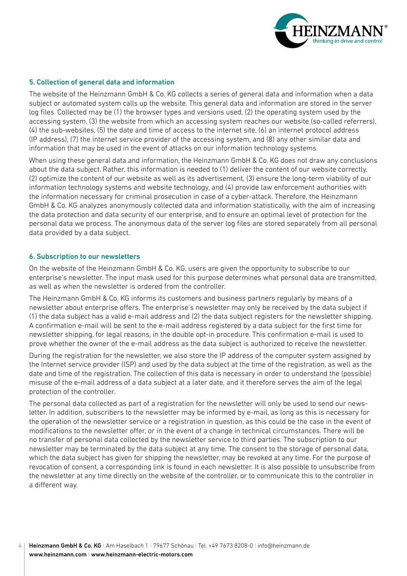

#### 5. Collection of general data and information

The website of the Heinzmann GmbH & Co. KG collects a series of general data and information when a data subject or automated system calls up the website. This general data and information are stored in the server log files. Collected may be (1) the browser types and versions used, (2) the operating system used by the accessing system, (3) the website from which an accessing system reaches our website (so-called referrers), (4) the sub-websites, (5) the date and time of access to the internet site, (6) an internet protocol address (IP address), (7) the internet service provider of the accessing system, and (8) any other similar data and information that may be used in the event of attacks on our information technology systems.

When using these general data and information, the Heinzmann GmbH & Co. KG does not draw any conclusions about the data subject. Rather, this information is needed to (1) deliver the content of our website correctly, (2) optimize the content of our website as well as its advertisement, (3) ensure the long-term viability of our information technology systems and website technology, and (4) provide law enforcement authorities with the information necessary for criminal prosecution in case of a cyber-attack. Therefore, the Heinzmann GmbH & Co. KG analyzes anonymously collected data and information statistically, with the aim of increasing the data protection and data security of our enterprise, and to ensure an optimal level of protection for the personal data we process. The anonymous data of the server log files are stored separately from all personal data provided by a data subject.

#### 6. Subscription to our newsletters

On the website of the Heinzmann GmbH & Co. KG, users are given the opportunity to subscribe to our enterprise's newsletter. The input mask used for this purpose determines what personal data are transmitted, as well as when the newsletter is ordered from the controller.

The Heinzmann GmbH & Co. KG informs its customers and business partners regularly by means of a newsletter about enterprise offers. The enterprise's newsletter may only be received by the data subject if (1) the data subject has a valid e-mail address and (2) the data subject registers for the newsletter shipping. A confirmation e-mail will be sent to the e-mail address registered by a data subject for the first time for newsletter shipping, for legal reasons, in the double opt-in procedure. This confirmation e-mail is used to prove whether the owner of the e-mail address as the data subject is authorized to receive the newsletter.

During the registration for the newsletter, we also store the IP address of the computer system assigned by the Internet service provider (ISP) and used by the data subject at the time of the registration, as well as the date and time of the registration. The collection of this data is necessary in order to understand the (possible) misuse of the e-mail address of a data subject at a later date, and it therefore serves the aim of the legal protection of the controller.

The personal data collected as part of a registration for the newsletter will only be used to send our newsletter. In addition, subscribers to the newsletter may be informed by e-mail, as long as this is necessary for the operation of the newsletter service or a registration in question, as this could be the case in the event of modifications to the newsletter offer, or in the event of a change in technical circumstances. There will be no transfer of personal data collected by the newsletter service to third parties. The subscription to our newsletter may be terminated by the data subject at any time. The consent to the storage of personal data, which the data subject has given for shipping the newsletter, may be revoked at any time. For the purpose of revocation of consent, a corresponding link is found in each newsletter. It is also possible to unsubscribe from the newsletter at any time directly on the website of the controller, or to communicate this to the controller in a different way.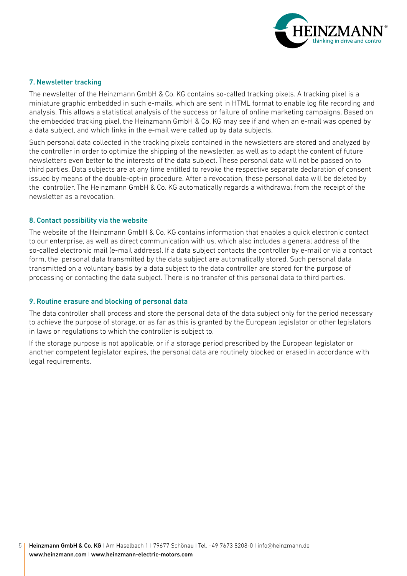

#### 7. Newsletter tracking

The newsletter of the Heinzmann GmbH & Co. KG contains so-called tracking pixels. A tracking pixel is a miniature graphic embedded in such e-mails, which are sent in HTML format to enable log file recording and analysis. This allows a statistical analysis of the success or failure of online marketing campaigns. Based on the embedded tracking pixel, the Heinzmann GmbH & Co. KG may see if and when an e-mail was opened by a data subject, and which links in the e-mail were called up by data subjects.

Such personal data collected in the tracking pixels contained in the newsletters are stored and analyzed by the controller in order to optimize the shipping of the newsletter, as well as to adapt the content of future newsletters even better to the interests of the data subject. These personal data will not be passed on to third parties. Data subjects are at any time entitled to revoke the respective separate declaration of consent issued by means of the double-opt-in procedure. After a revocation, these personal data will be deleted by the controller. The Heinzmann GmbH & Co. KG automatically regards a withdrawal from the receipt of the newsletter as a revocation.

#### 8. Contact possibility via the website

The website of the Heinzmann GmbH & Co. KG contains information that enables a quick electronic contact to our enterprise, as well as direct communication with us, which also includes a general address of the so-called electronic mail (e-mail address). If a data subject contacts the controller by e-mail or via a contact form, the personal data transmitted by the data subject are automatically stored. Such personal data transmitted on a voluntary basis by a data subject to the data controller are stored for the purpose of processing or contacting the data subject. There is no transfer of this personal data to third parties.

#### 9. Routine erasure and blocking of personal data

The data controller shall process and store the personal data of the data subject only for the period necessary to achieve the purpose of storage, or as far as this is granted by the European legislator or other legislators in laws or regulations to which the controller is subject to.

If the storage purpose is not applicable, or if a storage period prescribed by the European legislator or another competent legislator expires, the personal data are routinely blocked or erased in accordance with legal requirements.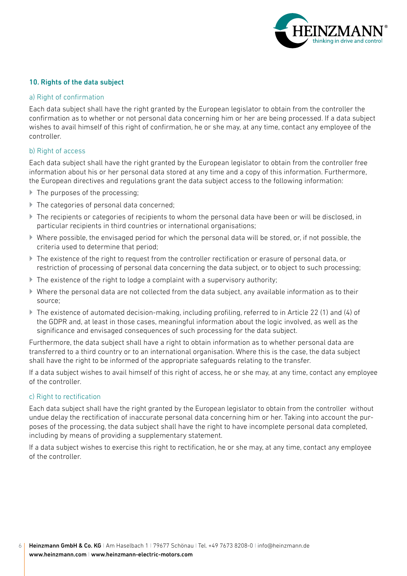

#### 10. Rights of the data subject

#### a) Right of confirmation

Each data subject shall have the right granted by the European legislator to obtain from the controller the confirmation as to whether or not personal data concerning him or her are being processed. If a data subject wishes to avail himself of this right of confirmation, he or she may, at any time, contact any employee of the controller.

## b) Right of access

Each data subject shall have the right granted by the European legislator to obtain from the controller free information about his or her personal data stored at any time and a copy of this information. Furthermore, the European directives and regulations grant the data subject access to the following information:

- ▶ The purposes of the processing;
- ▶ The categories of personal data concerned;
- The recipients or categories of recipients to whom the personal data have been or will be disclosed, in particular recipients in third countries or international organisations;
- $\blacktriangleright$  Where possible, the envisaged period for which the personal data will be stored, or, if not possible, the criteria used to determine that period;
- The existence of the right to request from the controller rectification or erasure of personal data, or restriction of processing of personal data concerning the data subject, or to object to such processing;
- $\blacktriangleright$  The existence of the right to lodge a complaint with a supervisory authority;
- Where the personal data are not collected from the data subject, any available information as to their source;
- The existence of automated decision-making, including profiling, referred to in Article 22 (1) and (4) of the GDPR and, at least in those cases, meaningful information about the logic involved, as well as the significance and envisaged consequences of such processing for the data subject.

Furthermore, the data subject shall have a right to obtain information as to whether personal data are transferred to a third country or to an international organisation. Where this is the case, the data subject shall have the right to be informed of the appropriate safeguards relating to the transfer.

If a data subject wishes to avail himself of this right of access, he or she may, at any time, contact any employee of the controller.

#### c) Right to rectification

Each data subject shall have the right granted by the European legislator to obtain from the controller without undue delay the rectification of inaccurate personal data concerning him or her. Taking into account the purposes of the processing, the data subject shall have the right to have incomplete personal data completed, including by means of providing a supplementary statement.

If a data subject wishes to exercise this right to rectification, he or she may, at any time, contact any employee of the controller.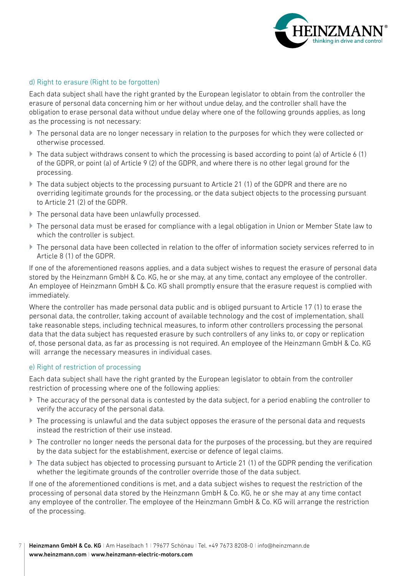

## d) Right to erasure (Right to be forgotten)

Each data subject shall have the right granted by the European legislator to obtain from the controller the erasure of personal data concerning him or her without undue delay, and the controller shall have the obligation to erase personal data without undue delay where one of the following grounds applies, as long as the processing is not necessary:

- The personal data are no longer necessary in relation to the purposes for which they were collected or otherwise processed.
- $\triangleright$  The data subject withdraws consent to which the processing is based according to point (a) of Article 6 (1) of the GDPR, or point (a) of Article 9 (2) of the GDPR, and where there is no other legal ground for the processing.
- $\blacktriangleright$  The data subject objects to the processing pursuant to Article 21 (1) of the GDPR and there are no overriding legitimate grounds for the processing, or the data subject objects to the processing pursuant to Article 21 (2) of the GDPR.
- The personal data have been unlawfully processed.
- The personal data must be erased for compliance with a legal obligation in Union or Member State law to which the controller is subject.
- The personal data have been collected in relation to the offer of information society services referred to in Article 8 (1) of the GDPR.

If one of the aforementioned reasons applies, and a data subject wishes to request the erasure of personal data stored by the Heinzmann GmbH & Co. KG, he or she may, at any time, contact any employee of the controller. An employee of Heinzmann GmbH & Co. KG shall promptly ensure that the erasure request is complied with immediately.

Where the controller has made personal data public and is obliged pursuant to Article 17 (1) to erase the personal data, the controller, taking account of available technology and the cost of implementation, shall take reasonable steps, including technical measures, to inform other controllers processing the personal data that the data subject has requested erasure by such controllers of any links to, or copy or replication of, those personal data, as far as processing is not required. An employee of the Heinzmann GmbH & Co. KG will arrange the necessary measures in individual cases.

#### e) Right of restriction of processing

Each data subject shall have the right granted by the European legislator to obtain from the controller restriction of processing where one of the following applies:

- The accuracy of the personal data is contested by the data subject, for a period enabling the controller to verify the accuracy of the personal data.
- The processing is unlawful and the data subject opposes the erasure of the personal data and requests instead the restriction of their use instead.
- ▶ The controller no longer needs the personal data for the purposes of the processing, but they are required by the data subject for the establishment, exercise or defence of legal claims.
- ▶ The data subject has objected to processing pursuant to Article 21 (1) of the GDPR pending the verification whether the legitimate grounds of the controller override those of the data subject.

If one of the aforementioned conditions is met, and a data subject wishes to request the restriction of the processing of personal data stored by the Heinzmann GmbH & Co. KG, he or she may at any time contact any employee of the controller. The employee of the Heinzmann GmbH & Co. KG will arrange the restriction of the processing.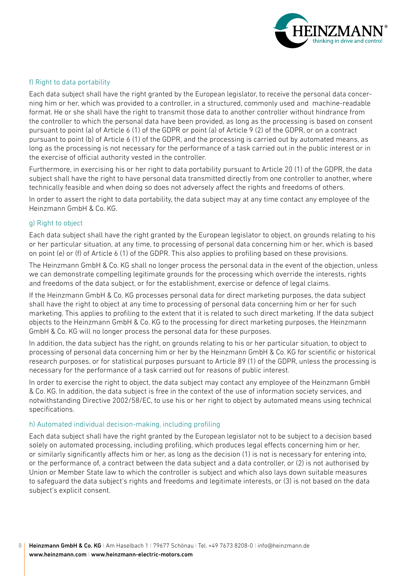

#### f) Right to data portability

Each data subject shall have the right granted by the European legislator, to receive the personal data concerning him or her, which was provided to a controller, in a structured, commonly used and machine-readable format. He or she shall have the right to transmit those data to another controller without hindrance from the controller to which the personal data have been provided, as long as the processing is based on consent pursuant to point (a) of Article 6 (1) of the GDPR or point (a) of Article 9 (2) of the GDPR, or on a contract pursuant to point (b) of Article 6 (1) of the GDPR, and the processing is carried out by automated means, as long as the processing is not necessary for the performance of a task carried out in the public interest or in the exercise of official authority vested in the controller.

Furthermore, in exercising his or her right to data portability pursuant to Article 20 (1) of the GDPR, the data subject shall have the right to have personal data transmitted directly from one controller to another, where technically feasible and when doing so does not adversely affect the rights and freedoms of others.

In order to assert the right to data portability, the data subject may at any time contact any employee of the Heinzmann GmbH & Co. KG.

#### g) Right to object

Each data subject shall have the right granted by the European legislator to object, on grounds relating to his or her particular situation, at any time, to processing of personal data concerning him or her, which is based on point (e) or (f) of Article 6 (1) of the GDPR. This also applies to profiling based on these provisions.

The Heinzmann GmbH & Co. KG shall no longer process the personal data in the event of the objection, unless we can demonstrate compelling legitimate grounds for the processing which override the interests, rights and freedoms of the data subject, or for the establishment, exercise or defence of legal claims.

If the Heinzmann GmbH & Co. KG processes personal data for direct marketing purposes, the data subject shall have the right to object at any time to processing of personal data concerning him or her for such marketing. This applies to profiling to the extent that it is related to such direct marketing. If the data subject objects to the Heinzmann GmbH & Co. KG to the processing for direct marketing purposes, the Heinzmann GmbH & Co. KG will no longer process the personal data for these purposes.

In addition, the data subject has the right, on grounds relating to his or her particular situation, to object to processing of personal data concerning him or her by the Heinzmann GmbH & Co. KG for scientific or historical research purposes, or for statistical purposes pursuant to Article 89 (1) of the GDPR, unless the processing is necessary for the performance of a task carried out for reasons of public interest.

In order to exercise the right to object, the data subject may contact any employee of the Heinzmann GmbH & Co. KG. In addition, the data subject is free in the context of the use of information society services, and notwithstanding Directive 2002/58/EC, to use his or her right to object by automated means using technical specifications.

#### h) Automated individual decision-making, including profiling

Each data subject shall have the right granted by the European legislator not to be subject to a decision based solely on automated processing, including profiling, which produces legal effects concerning him or her, or similarly significantly affects him or her, as long as the decision (1) is not is necessary for entering into, or the performance of, a contract between the data subject and a data controller, or (2) is not authorised by Union or Member State law to which the controller is subject and which also lays down suitable measures to safeguard the data subject's rights and freedoms and legitimate interests, or (3) is not based on the data subject's explicit consent.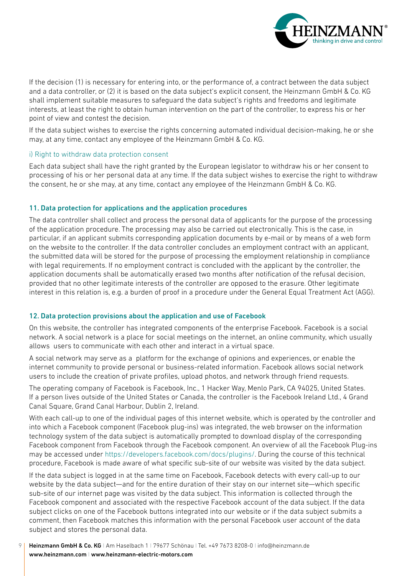

If the decision (1) is necessary for entering into, or the performance of, a contract between the data subject and a data controller, or (2) it is based on the data subject's explicit consent, the Heinzmann GmbH & Co. KG shall implement suitable measures to safeguard the data subject's rights and freedoms and legitimate interests, at least the right to obtain human intervention on the part of the controller, to express his or her point of view and contest the decision.

If the data subject wishes to exercise the rights concerning automated individual decision-making, he or she may, at any time, contact any employee of the Heinzmann GmbH & Co. KG.

#### i) Right to withdraw data protection consent

Each data subject shall have the right granted by the European legislator to withdraw his or her consent to processing of his or her personal data at any time. If the data subject wishes to exercise the right to withdraw the consent, he or she may, at any time, contact any employee of the Heinzmann GmbH & Co. KG.

#### 11. Data protection for applications and the application procedures

The data controller shall collect and process the personal data of applicants for the purpose of the processing of the application procedure. The processing may also be carried out electronically. This is the case, in particular, if an applicant submits corresponding application documents by e-mail or by means of a web form on the website to the controller. If the data controller concludes an employment contract with an applicant, the submitted data will be stored for the purpose of processing the employment relationship in compliance with legal requirements. If no employment contract is concluded with the applicant by the controller, the application documents shall be automatically erased two months after notification of the refusal decision, provided that no other legitimate interests of the controller are opposed to the erasure. Other legitimate interest in this relation is, e.g. a burden of proof in a procedure under the General Equal Treatment Act (AGG).

#### 12. Data protection provisions about the application and use of Facebook

On this website, the controller has integrated components of the enterprise Facebook. Facebook is a social network. A social network is a place for social meetings on the internet, an online community, which usually allows users to communicate with each other and interact in a virtual space.

A social network may serve as a platform for the exchange of opinions and experiences, or enable the internet community to provide personal or business-related information. Facebook allows social network users to include the creation of private profiles, upload photos, and network through friend requests.

The operating company of Facebook is Facebook, Inc., 1 Hacker Way, Menlo Park, CA 94025, United States. If a person lives outside of the United States or Canada, the controller is the Facebook Ireland Ltd., 4 Grand Canal Square, Grand Canal Harbour, Dublin 2, Ireland.

With each call-up to one of the individual pages of this internet website, which is operated by the controller and into which a Facebook component (Facebook plug-ins) was integrated, the web browser on the information technology system of the data subject is automatically prompted to download display of the corresponding Facebook component from Facebook through the Facebook component. An overview of all the Facebook Plug-ins may be accessed under [https://developers.facebook.com/docs/plugins/.](https://developers.facebook.com/docs/plugins/) During the course of this technical procedure, Facebook is made aware of what specific sub-site of our website was visited by the data subject.

If the data subject is logged in at the same time on Facebook, Facebook detects with every call-up to our website by the data subject—and for the entire duration of their stay on our internet site—which specific sub-site of our internet page was visited by the data subject. This information is collected through the Facebook component and associated with the respective Facebook account of the data subject. If the data subject clicks on one of the Facebook buttons integrated into our website or if the data subject submits a comment, then Facebook matches this information with the personal Facebook user account of the data subject and stores the personal data.

Heinzmann GmbH & Co. KG | Am Haselbach 1 | 79677 Schönau | Tel. +49 7673 8208-0 | info@heinzmann.de [www.heinzmann.com](https://www.heinzmann.com/en/) I [www.heinzmann-electric-motors.com](https://www.heinzmann-electric-motors.com/en/) 9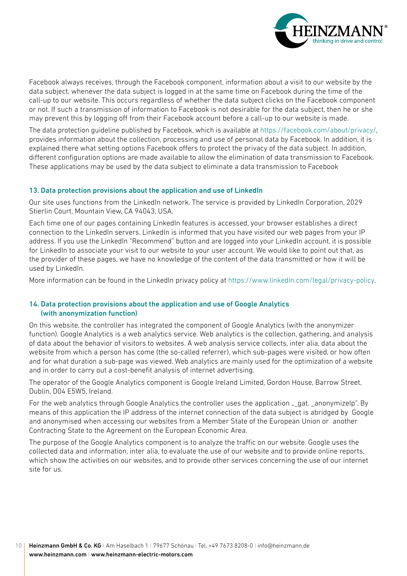

Facebook always receives, through the Facebook component, information about a visit to our website by the data subject, whenever the data subject is logged in at the same time on Facebook during the time of the call-up to our website. This occurs regardless of whether the data subject clicks on the Facebook component or not. If such a transmission of information to Facebook is not desirable for the data subject, then he or she may prevent this by logging off from their Facebook account before a call-up to our website is made.

The data protection guideline published by Facebook, which is available at [https://facebook.com/about/privacy/](https://www.facebook.com/about/privacy/), provides information about the collection, processing and use of personal data by Facebook. In addition, it is explained there what setting options Facebook offers to protect the privacy of the data subject. In addition, different configuration options are made available to allow the elimination of data transmission to Facebook. These applications may be used by the data subject to eliminate a data transmission to Facebook

#### 13. Data protection provisions about the application and use of LinkedIn

Our site uses functions from the LinkedIn network. The service is provided by LinkedIn Corporation, 2029 Stierlin Court, Mountain View, CA 94043, USA.

Each time one of our pages containing LinkedIn features is accessed, your browser establishes a direct connection to the LinkedIn servers. LinkedIn is informed that you have visited our web pages from your IP address. If you use the LinkedIn "Recommend" button and are logged into your LinkedIn account, it is possible for LinkedIn to associate your visit to our website to your user account. We would like to point out that, as the provider of these pages, we have no knowledge of the content of the data transmitted or how it will be used by LinkedIn.

More information can be found in the LinkedIn privacy policy at [https://www.linkedin.com/legal/privacy-policy](https://www.linkedin.com/legal/privacy-policy.).

## 14. Data protection provisions about the application and use of Google Analytics (with anonymization function)

On this website, the controller has integrated the component of Google Analytics (with the anonymizer function). Google Analytics is a web analytics service. Web analytics is the collection, gathering, and analysis of data about the behavior of visitors to websites. A web analysis service collects, inter alia, data about the website from which a person has come (the so-called referrer), which sub-pages were visited, or how often and for what duration a sub-page was viewed. Web analytics are mainly used for the optimization of a website and in order to carry out a cost-benefit analysis of internet advertising.

The operator of the Google Analytics component is Google Ireland Limited, Gordon House, Barrow Street, Dublin, D04 E5W5, Ireland.

For the web analytics through Google Analytics the controller uses the application "\_gat. \_anonymizeIp". By means of this application the IP address of the internet connection of the data subject is abridged by Google and anonymised when accessing our websites from a Member State of the European Union or another Contracting State to the Agreement on the European Economic Area.

The purpose of the Google Analytics component is to analyze the traffic on our website. Google uses the collected data and information, inter alia, to evaluate the use of our website and to provide online reports, which show the activities on our websites, and to provide other services concerning the use of our internet site for us.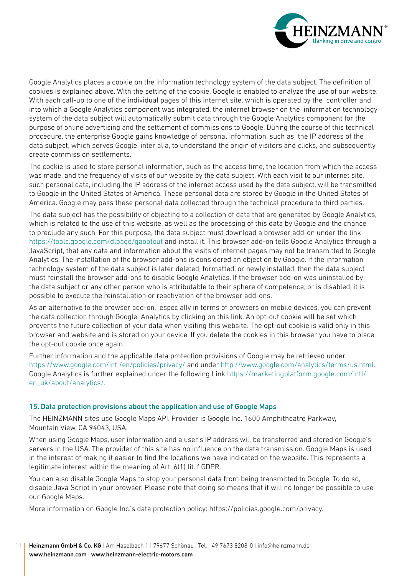

Google Analytics places a cookie on the information technology system of the data subject. The definition of cookies is explained above. With the setting of the cookie, Google is enabled to analyze the use of our website. With each call-up to one of the individual pages of this internet site, which is operated by the controller and into which a Google Analytics component was integrated, the internet browser on the information technology system of the data subject will automatically submit data through the Google Analytics component for the purpose of online advertising and the settlement of commissions to Google. During the course of this technical procedure, the enterprise Google gains knowledge of personal information, such as the IP address of the data subject, which serves Google, inter alia, to understand the origin of visitors and clicks, and subsequently create commission settlements.

The cookie is used to store personal information, such as the access time, the location from which the access was made, and the frequency of visits of our website by the data subject. With each visit to our internet site, such personal data, including the IP address of the internet access used by the data subject, will be transmitted to Google in the United States of America. These personal data are stored by Google in the United States of America. Google may pass these personal data collected through the technical procedure to third parties.

The data subject has the possibility of objecting to a collection of data that are generated by Google Analytics, which is related to the use of this website, as well as the processing of this data by Google and the chance to preclude any such. For this purpose, the data subject must download a browser add-on under the link [https://tools.google.com/dlpage/gaoptout](https://tools.google.com/dlpage/gaoptout?hl=en) and install it. This browser add-on tells Google Analytics through a JavaScript, that any data and information about the visits of internet pages may not be transmitted to Google Analytics. The installation of the browser add-ons is considered an objection by Google. If the information technology system of the data subject is later deleted, formatted, or newly installed, then the data subject must reinstall the browser add-ons to disable Google Analytics. If the browser add-on was uninstalled by the data subject or any other person who is attributable to their sphere of competence, or is disabled, it is possible to execute the reinstallation or reactivation of the browser add-ons.

As an alternative to the browser add-on, especially in terms of browsers on mobile devices, you can prevent the data collection through Google Analytics by clicking on this link. An opt-out cookie will be set which prevents the future collection of your data when visiting this website. The opt-out cookie is valid only in this browser and website and is stored on your device. If you delete the cookies in this browser you have to place the opt-out cookie once again.

Further information and the applicable data protection provisions of Google may be retrieved under [https://www.google.com/intl/en/policies/privacy/](https://policies.google.com/privacy?hl=en) and under [http://www.google.com/analytics/terms/us.html.](https://marketingplatform.google.com/about/analytics/terms/us/) Google Analytics is further explained under the following Link [https://marketingplatform.google.com/intl/](https://marketingplatform.google.com/intl/en_uk/about/analytics) [en\\_uk/about/analytics/.](https://marketingplatform.google.com/intl/en_uk/about/analytics)

#### 15. Data protection provisions about the application and use of Google Maps

The HEINZMANN sites use Google Maps API. Provider is Google Inc. 1600 Amphitheatre Parkway, Mountain View, CA 94043, USA.

When using Google Maps, user information and a user's IP address will be transferred and stored on Google's servers in the USA. The provider of this site has no influence on the data transmission. Google Maps is used in the interest of making it easier to find the locations we have indicated on the website. This represents a legitimate interest within the meaning of Art. 6(1) lit. f GDPR.

You can also disable Google Maps to stop your personal data from being transmitted to Google. To do so, disable Java Script in your browser. Please note that doing so means that it will no longer be possible to use our Google Maps.

More information on Google Inc.'s data protection policy: [https://policies.google.com/privacy.](https://policies.google.com/privacy)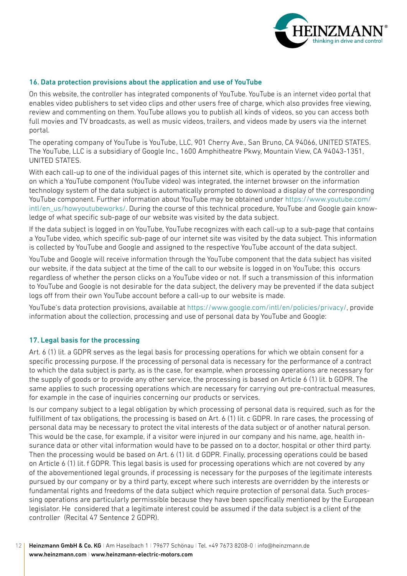

## 16. Data protection provisions about the application and use of YouTube

On this website, the controller has integrated components of YouTube. YouTube is an internet video portal that enables video publishers to set video clips and other users free of charge, which also provides free viewing, review and commenting on them. YouTube allows you to publish all kinds of videos, so you can access both full movies and TV broadcasts, as well as music videos, trailers, and videos made by users via the internet portal.

The operating company of YouTube is YouTube, LLC, 901 Cherry Ave., San Bruno, CA 94066, UNITED STATES. The YouTube, LLC is a subsidiary of Google Inc., 1600 Amphitheatre Pkwy, Mountain View, CA 94043-1351, UNITED STATES.

With each call-up to one of the individual pages of this internet site, which is operated by the controller and on which a YouTube component (YouTube video) was integrated, the internet browser on the information technology system of the data subject is automatically prompted to download a display of the corresponding YouTube component. Further information about YouTube may be obtained under [https://www.youtube.com/](https://www.youtube.com/intl/en_us/howyoutubeworks/) [intl/en\\_us/howyoutubeworks/](https://www.youtube.com/intl/en_us/howyoutubeworks/). During the course of this technical procedure, YouTube and Google gain knowledge of what specific sub-page of our website was visited by the data subject.

If the data subject is logged in on YouTube, YouTube recognizes with each call-up to a sub-page that contains a YouTube video, which specific sub-page of our internet site was visited by the data subject. This information is collected by YouTube and Google and assigned to the respective YouTube account of the data subject.

YouTube and Google will receive information through the YouTube component that the data subject has visited our website, if the data subject at the time of the call to our website is logged in on YouTube; this occurs regardless of whether the person clicks on a YouTube video or not. If such a transmission of this information to YouTube and Google is not desirable for the data subject, the delivery may be prevented if the data subject logs off from their own YouTube account before a call-up to our website is made.

YouTube's data protection provisions, available at [https://www.google.com/intl/en/policies/privacy/](https://policies.google.com/privacy?hl=en), provide information about the collection, processing and use of personal data by YouTube and Google:

#### 17. Legal basis for the processing

Art. 6 (1) lit. a GDPR serves as the legal basis for processing operations for which we obtain consent for a specific processing purpose. If the processing of personal data is necessary for the performance of a contract to which the data subject is party, as is the case, for example, when processing operations are necessary for the supply of goods or to provide any other service, the processing is based on Article 6 (1) lit. b GDPR. The same applies to such processing operations which are necessary for carrying out pre-contractual measures, for example in the case of inquiries concerning our products or services.

Is our company subject to a legal obligation by which processing of personal data is required, such as for the fulfillment of tax obligations, the processing is based on Art. 6 (1) lit. c GDPR. In rare cases, the processing of personal data may be necessary to protect the vital interests of the data subject or of another natural person. This would be the case, for example, if a visitor were injured in our company and his name, age, health insurance data or other vital information would have to be passed on to a doctor, hospital or other third party. Then the processing would be based on Art. 6 (1) lit. d GDPR. Finally, processing operations could be based on Article 6 (1) lit. f GDPR. This legal basis is used for processing operations which are not covered by any of the abovementioned legal grounds, if processing is necessary for the purposes of the legitimate interests pursued by our company or by a third party, except where such interests are overridden by the interests or fundamental rights and freedoms of the data subject which require protection of personal data. Such processing operations are particularly permissible because they have been specifically mentioned by the European legislator. He considered that a legitimate interest could be assumed if the data subject is a client of the controller (Recital 47 Sentence 2 GDPR).